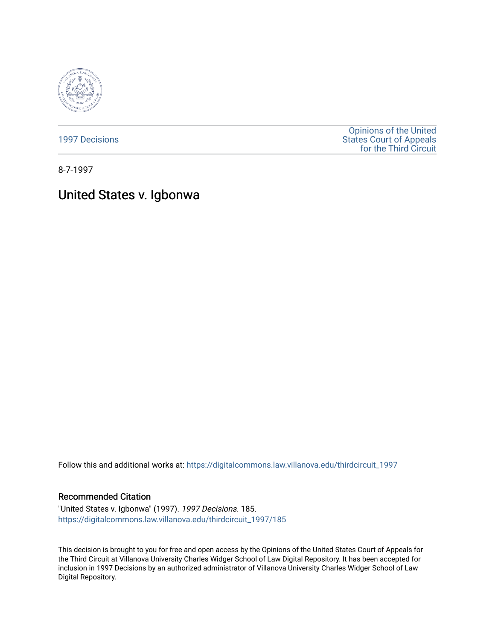

[1997 Decisions](https://digitalcommons.law.villanova.edu/thirdcircuit_1997)

[Opinions of the United](https://digitalcommons.law.villanova.edu/thirdcircuit)  [States Court of Appeals](https://digitalcommons.law.villanova.edu/thirdcircuit)  [for the Third Circuit](https://digitalcommons.law.villanova.edu/thirdcircuit) 

8-7-1997

# United States v. Igbonwa

Follow this and additional works at: [https://digitalcommons.law.villanova.edu/thirdcircuit\\_1997](https://digitalcommons.law.villanova.edu/thirdcircuit_1997?utm_source=digitalcommons.law.villanova.edu%2Fthirdcircuit_1997%2F185&utm_medium=PDF&utm_campaign=PDFCoverPages) 

# Recommended Citation

"United States v. Igbonwa" (1997). 1997 Decisions. 185. [https://digitalcommons.law.villanova.edu/thirdcircuit\\_1997/185](https://digitalcommons.law.villanova.edu/thirdcircuit_1997/185?utm_source=digitalcommons.law.villanova.edu%2Fthirdcircuit_1997%2F185&utm_medium=PDF&utm_campaign=PDFCoverPages)

This decision is brought to you for free and open access by the Opinions of the United States Court of Appeals for the Third Circuit at Villanova University Charles Widger School of Law Digital Repository. It has been accepted for inclusion in 1997 Decisions by an authorized administrator of Villanova University Charles Widger School of Law Digital Repository.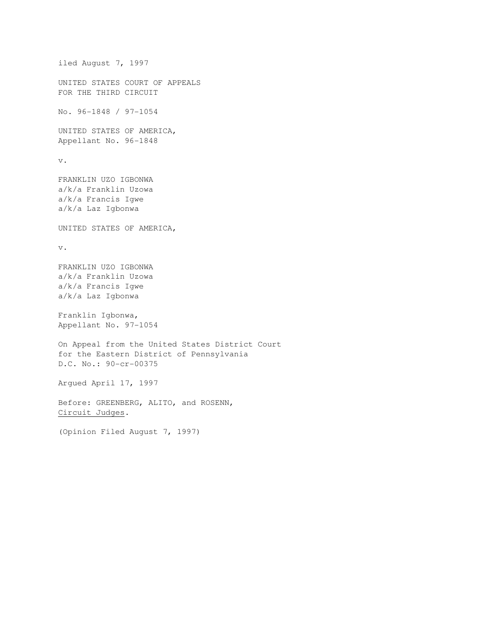```
iled August 7, 1997 
UNITED STATES COURT OF APPEALS 
FOR THE THIRD CIRCUIT 
No. 96-1848 / 97-1054 
UNITED STATES OF AMERICA, 
Appellant No. 96-1848 
v. 
FRANKLIN UZO IGBONWA 
a/k/a Franklin Uzowa 
a/k/a Francis Igwe 
a/k/a Laz Igbonwa 
UNITED STATES OF AMERICA, 
v. 
FRANKLIN UZO IGBONWA 
a/k/a Franklin Uzowa 
a/k/a Francis Igwe 
a/k/a Laz Igbonwa 
Franklin Igbonwa, 
Appellant No. 97-1054 
On Appeal from the United States District Court 
for the Eastern District of Pennsylvania 
D.C. No.: 90-cr-00375 
Argued April 17, 1997 
Before: GREENBERG, ALITO, and ROSENN, 
Circuit Judges. 
(Opinion Filed August 7, 1997)
```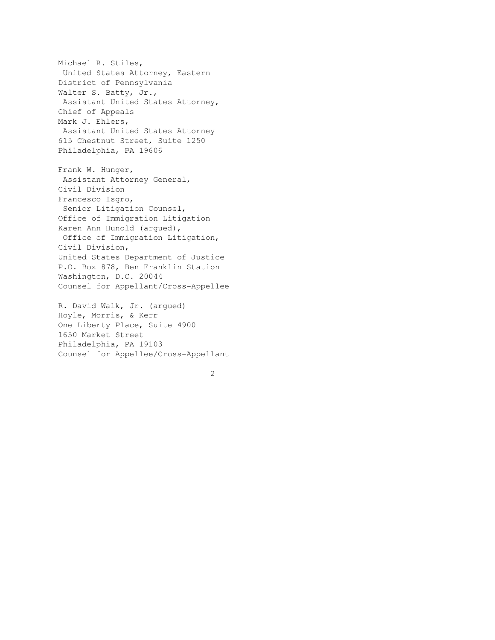Michael R. Stiles, United States Attorney, Eastern District of Pennsylvania Walter S. Batty, Jr., Assistant United States Attorney, Chief of Appeals Mark J. Ehlers, Assistant United States Attorney 615 Chestnut Street, Suite 1250 Philadelphia, PA 19606

Frank W. Hunger, Assistant Attorney General, Civil Division Francesco Isgro, Senior Litigation Counsel, Office of Immigration Litigation Karen Ann Hunold (argued), Office of Immigration Litigation, Civil Division, United States Department of Justice P.O. Box 878, Ben Franklin Station Washington, D.C. 20044 Counsel for Appellant/Cross-Appellee

R. David Walk, Jr. (argued) Hoyle, Morris, & Kerr One Liberty Place, Suite 4900 1650 Market Street Philadelphia, PA 19103 Counsel for Appellee/Cross-Appellant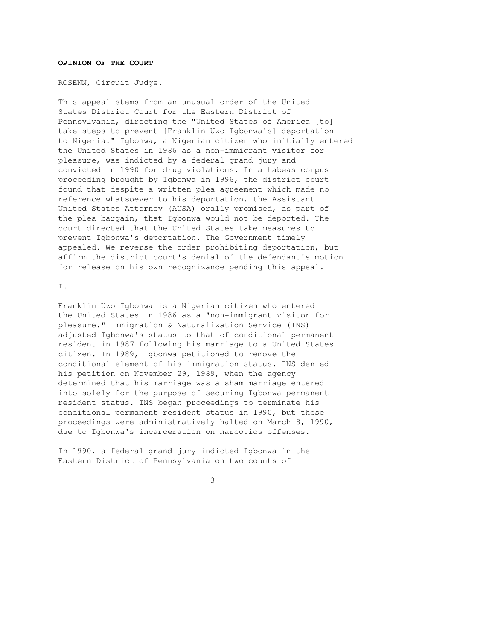## **OPINION OF THE COURT**

#### ROSENN, Circuit Judge.

This appeal stems from an unusual order of the United States District Court for the Eastern District of Pennsylvania, directing the "United States of America [to] take steps to prevent [Franklin Uzo Igbonwa's] deportation to Nigeria." Igbonwa, a Nigerian citizen who initially entered the United States in 1986 as a non-immigrant visitor for pleasure, was indicted by a federal grand jury and convicted in 1990 for drug violations. In a habeas corpus proceeding brought by Igbonwa in 1996, the district court found that despite a written plea agreement which made no reference whatsoever to his deportation, the Assistant United States Attorney (AUSA) orally promised, as part of the plea bargain, that Igbonwa would not be deported. The court directed that the United States take measures to prevent Igbonwa's deportation. The Government timely appealed. We reverse the order prohibiting deportation, but affirm the district court's denial of the defendant's motion for release on his own recognizance pending this appeal.

I.

Franklin Uzo Igbonwa is a Nigerian citizen who entered the United States in 1986 as a "non-immigrant visitor for pleasure." Immigration & Naturalization Service (INS) adjusted Igbonwa's status to that of conditional permanent resident in 1987 following his marriage to a United States citizen. In 1989, Igbonwa petitioned to remove the conditional element of his immigration status. INS denied his petition on November 29, 1989, when the agency determined that his marriage was a sham marriage entered into solely for the purpose of securing Igbonwa permanent resident status. INS began proceedings to terminate his conditional permanent resident status in 1990, but these proceedings were administratively halted on March 8, 1990, due to Igbonwa's incarceration on narcotics offenses.

In 1990, a federal grand jury indicted Igbonwa in the Eastern District of Pennsylvania on two counts of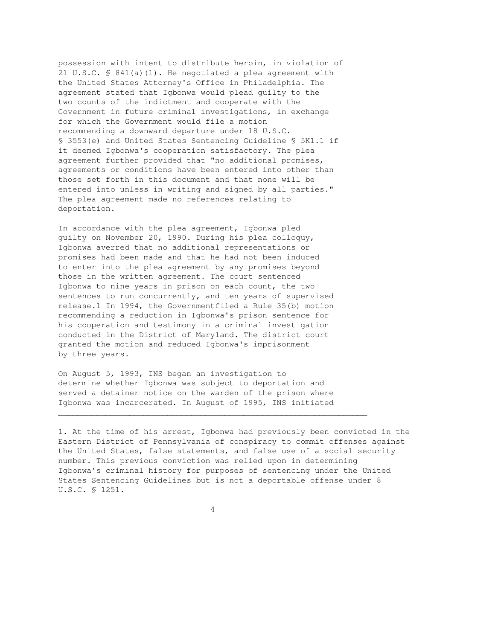possession with intent to distribute heroin, in violation of 21 U.S.C. § 841(a)(1). He negotiated a plea agreement with the United States Attorney's Office in Philadelphia. The agreement stated that Igbonwa would plead guilty to the two counts of the indictment and cooperate with the Government in future criminal investigations, in exchange for which the Government would file a motion recommending a downward departure under 18 U.S.C. § 3553(e) and United States Sentencing Guideline § 5K1.1 if it deemed Igbonwa's cooperation satisfactory. The plea agreement further provided that "no additional promises, agreements or conditions have been entered into other than those set forth in this document and that none will be entered into unless in writing and signed by all parties." The plea agreement made no references relating to deportation.

In accordance with the plea agreement, Igbonwa pled guilty on November 20, 1990. During his plea colloquy, Igbonwa averred that no additional representations or promises had been made and that he had not been induced to enter into the plea agreement by any promises beyond those in the written agreement. The court sentenced Igbonwa to nine years in prison on each count, the two sentences to run concurrently, and ten years of supervised release.1 In 1994, the Governmentfiled a Rule 35(b) motion recommending a reduction in Igbonwa's prison sentence for his cooperation and testimony in a criminal investigation conducted in the District of Maryland. The district court granted the motion and reduced Igbonwa's imprisonment by three years.

On August 5, 1993, INS began an investigation to determine whether Igbonwa was subject to deportation and served a detainer notice on the warden of the prison where Igbonwa was incarcerated. In August of 1995, INS initiated

1. At the time of his arrest, Igbonwa had previously been convicted in the Eastern District of Pennsylvania of conspiracy to commit offenses against the United States, false statements, and false use of a social security number. This previous conviction was relied upon in determining Igbonwa's criminal history for purposes of sentencing under the United States Sentencing Guidelines but is not a deportable offense under 8 U.S.C. § 1251.

4

 $\overline{\phantom{a}}$  , and the contribution of the contribution of the contribution of the contribution of the contribution of the contribution of the contribution of the contribution of the contribution of the contribution of the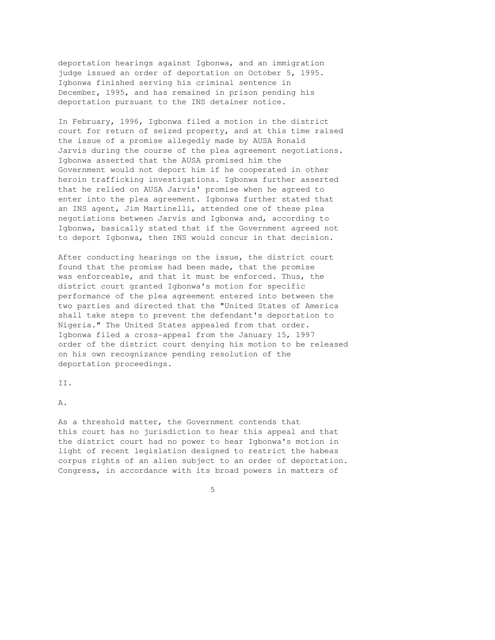deportation hearings against Igbonwa, and an immigration judge issued an order of deportation on October 5, 1995. Igbonwa finished serving his criminal sentence in December, 1995, and has remained in prison pending his deportation pursuant to the INS detainer notice.

In February, 1996, Igbonwa filed a motion in the district court for return of seized property, and at this time raised the issue of a promise allegedly made by AUSA Ronald Jarvis during the course of the plea agreement negotiations. Igbonwa asserted that the AUSA promised him the Government would not deport him if he cooperated in other heroin trafficking investigations. Igbonwa further asserted that he relied on AUSA Jarvis' promise when he agreed to enter into the plea agreement. Igbonwa further stated that an INS agent, Jim Martinelli, attended one of these plea negotiations between Jarvis and Igbonwa and, according to Igbonwa, basically stated that if the Government agreed not to deport Igbonwa, then INS would concur in that decision.

After conducting hearings on the issue, the district court found that the promise had been made, that the promise was enforceable, and that it must be enforced. Thus, the district court granted Igbonwa's motion for specific performance of the plea agreement entered into between the two parties and directed that the "United States of America shall take steps to prevent the defendant's deportation to Nigeria." The United States appealed from that order. Igbonwa filed a cross-appeal from the January 15, 1997 order of the district court denying his motion to be released on his own recognizance pending resolution of the deportation proceedings.

II.

A.

As a threshold matter, the Government contends that this court has no jurisdiction to hear this appeal and that the district court had no power to hear Igbonwa's motion in light of recent legislation designed to restrict the habeas corpus rights of an alien subject to an order of deportation. Congress, in accordance with its broad powers in matters of

 $\sim$  5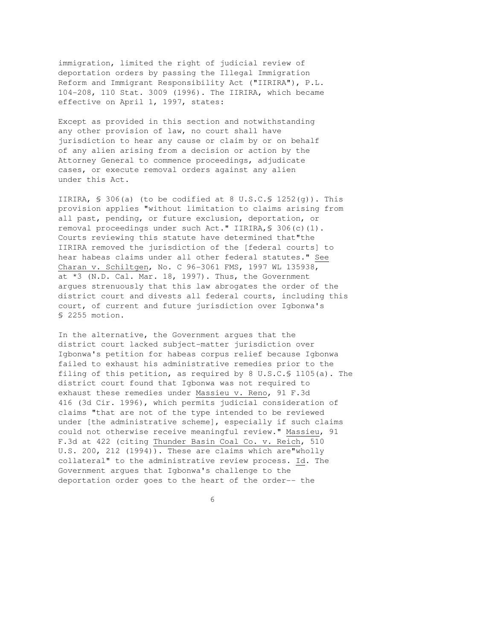immigration, limited the right of judicial review of deportation orders by passing the Illegal Immigration Reform and Immigrant Responsibility Act ("IIRIRA"), P.L. 104-208, 110 Stat. 3009 (1996). The IIRIRA, which became effective on April 1, 1997, states:

Except as provided in this section and notwithstanding any other provision of law, no court shall have jurisdiction to hear any cause or claim by or on behalf of any alien arising from a decision or action by the Attorney General to commence proceedings, adjudicate cases, or execute removal orders against any alien under this Act.

IIRIRA,  $\$$  306(a) (to be codified at 8 U.S.C. $\$$  1252(q)). This provision applies "without limitation to claims arising from all past, pending, or future exclusion, deportation, or removal proceedings under such Act." IIRIRA,§ 306(c)(1). Courts reviewing this statute have determined that"the IIRIRA removed the jurisdiction of the [federal courts] to hear habeas claims under all other federal statutes." See Charan v. Schiltgen, No. C 96-3061 FMS, 1997 WL 135938, at \*3 (N.D. Cal. Mar. 18, 1997). Thus, the Government argues strenuously that this law abrogates the order of the district court and divests all federal courts, including this court, of current and future jurisdiction over Igbonwa's § 2255 motion.

In the alternative, the Government argues that the district court lacked subject-matter jurisdiction over Igbonwa's petition for habeas corpus relief because Igbonwa failed to exhaust his administrative remedies prior to the filing of this petition, as required by 8 U.S.C.§ 1105(a). The district court found that Igbonwa was not required to exhaust these remedies under Massieu v. Reno, 91 F.3d 416 (3d Cir. 1996), which permits judicial consideration of claims "that are not of the type intended to be reviewed under [the administrative scheme], especially if such claims could not otherwise receive meaningful review." Massieu, 91 F.3d at 422 (citing Thunder Basin Coal Co. v. Reich, 510 U.S. 200, 212 (1994)). These are claims which are"wholly collateral" to the administrative review process. Id. The Government argues that Igbonwa's challenge to the deportation order goes to the heart of the order-- the

 $\overline{6}$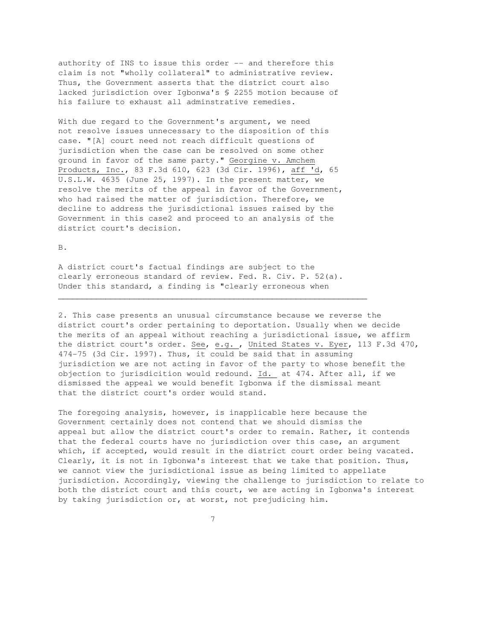authority of INS to issue this order -- and therefore this claim is not "wholly collateral" to administrative review. Thus, the Government asserts that the district court also lacked jurisdiction over Igbonwa's § 2255 motion because of his failure to exhaust all adminstrative remedies.

With due regard to the Government's argument, we need not resolve issues unnecessary to the disposition of this case. "[A] court need not reach difficult questions of jurisdiction when the case can be resolved on some other ground in favor of the same party." Georgine v. Amchem Products, Inc., 83 F.3d 610, 623 (3d Cir. 1996), aff 'd, 65 U.S.L.W. 4635 (June 25, 1997). In the present matter, we resolve the merits of the appeal in favor of the Government, who had raised the matter of jurisdiction. Therefore, we decline to address the jurisdictional issues raised by the Government in this case2 and proceed to an analysis of the district court's decision.

B.

A district court's factual findings are subject to the clearly erroneous standard of review. Fed. R. Civ. P. 52(a). Under this standard, a finding is "clearly erroneous when

 $\overline{\phantom{a}}$  , and the contribution of the contribution of the contribution of the contribution of the contribution of the contribution of the contribution of the contribution of the contribution of the contribution of the

2. This case presents an unusual circumstance because we reverse the district court's order pertaining to deportation. Usually when we decide the merits of an appeal without reaching a jurisdictional issue, we affirm the district court's order. See, e.g. , United States v. Eyer, 113 F.3d 470, 474-75 (3d Cir. 1997). Thus, it could be said that in assuming jurisdiction we are not acting in favor of the party to whose benefit the objection to jurisdicition would redound. Id. at 474. After all, if we dismissed the appeal we would benefit Igbonwa if the dismissal meant that the district court's order would stand.

The foregoing analysis, however, is inapplicable here because the Government certainly does not contend that we should dismiss the appeal but allow the district court's order to remain. Rather, it contends that the federal courts have no jurisdiction over this case, an argument which, if accepted, would result in the district court order being vacated. Clearly, it is not in Igbonwa's interest that we take that position. Thus, we cannot view the jurisdictional issue as being limited to appellate jurisdiction. Accordingly, viewing the challenge to jurisdiction to relate to both the district court and this court, we are acting in Igbonwa's interest by taking jurisdiction or, at worst, not prejudicing him.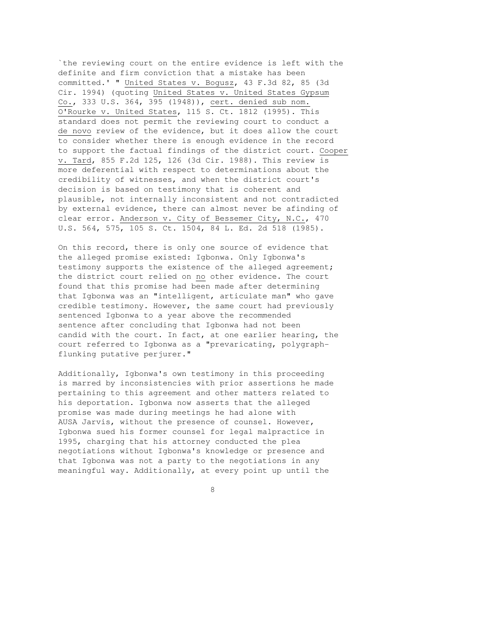`the reviewing court on the entire evidence is left with the definite and firm conviction that a mistake has been committed.' " United States v. Bogusz, 43 F.3d 82, 85 (3d Cir. 1994) (quoting United States v. United States Gypsum Co., 333 U.S. 364, 395 (1948)), cert. denied sub nom. O'Rourke v. United States, 115 S. Ct. 1812 (1995). This standard does not permit the reviewing court to conduct a de novo review of the evidence, but it does allow the court to consider whether there is enough evidence in the record to support the factual findings of the district court. Cooper v. Tard, 855 F.2d 125, 126 (3d Cir. 1988). This review is more deferential with respect to determinations about the credibility of witnesses, and when the district court's decision is based on testimony that is coherent and plausible, not internally inconsistent and not contradicted by external evidence, there can almost never be afinding of clear error. Anderson v. City of Bessemer City, N.C., 470 U.S. 564, 575, 105 S. Ct. 1504, 84 L. Ed. 2d 518 (1985).

On this record, there is only one source of evidence that the alleged promise existed: Igbonwa. Only Igbonwa's testimony supports the existence of the alleged agreement; the district court relied on no other evidence. The court found that this promise had been made after determining that Igbonwa was an "intelligent, articulate man" who gave credible testimony. However, the same court had previously sentenced Igbonwa to a year above the recommended sentence after concluding that Igbonwa had not been candid with the court. In fact, at one earlier hearing, the court referred to Igbonwa as a "prevaricating, polygraphflunking putative perjurer."

Additionally, Igbonwa's own testimony in this proceeding is marred by inconsistencies with prior assertions he made pertaining to this agreement and other matters related to his deportation. Igbonwa now asserts that the alleged promise was made during meetings he had alone with AUSA Jarvis, without the presence of counsel. However, Igbonwa sued his former counsel for legal malpractice in 1995, charging that his attorney conducted the plea negotiations without Igbonwa's knowledge or presence and that Igbonwa was not a party to the negotiations in any meaningful way. Additionally, at every point up until the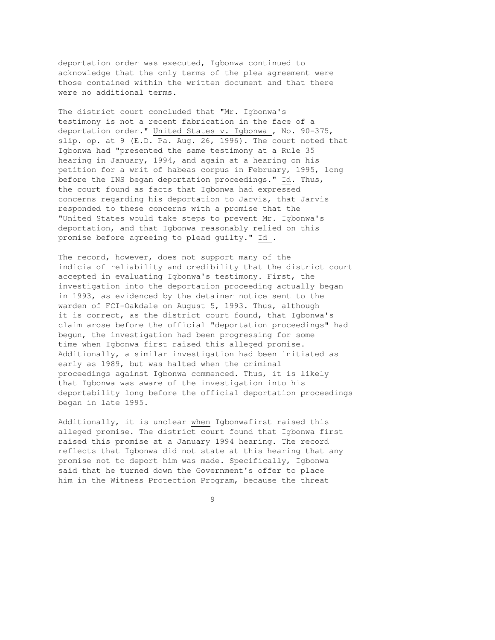deportation order was executed, Igbonwa continued to acknowledge that the only terms of the plea agreement were those contained within the written document and that there were no additional terms.

The district court concluded that "Mr. Igbonwa's testimony is not a recent fabrication in the face of a deportation order." United States v. Igbonwa , No. 90-375, slip. op. at 9 (E.D. Pa. Aug. 26, 1996). The court noted that Igbonwa had "presented the same testimony at a Rule 35 hearing in January, 1994, and again at a hearing on his petition for a writ of habeas corpus in February, 1995, long before the INS began deportation proceedings." Id. Thus, the court found as facts that Igbonwa had expressed concerns regarding his deportation to Jarvis, that Jarvis responded to these concerns with a promise that the "United States would take steps to prevent Mr. Igbonwa's deportation, and that Igbonwa reasonably relied on this promise before agreeing to plead guilty." Id .

The record, however, does not support many of the indicia of reliability and credibility that the district court accepted in evaluating Igbonwa's testimony. First, the investigation into the deportation proceeding actually began in 1993, as evidenced by the detainer notice sent to the warden of FCI-Oakdale on August 5, 1993. Thus, although it is correct, as the district court found, that Igbonwa's claim arose before the official "deportation proceedings" had begun, the investigation had been progressing for some time when Igbonwa first raised this alleged promise. Additionally, a similar investigation had been initiated as early as 1989, but was halted when the criminal proceedings against Igbonwa commenced. Thus, it is likely that Igbonwa was aware of the investigation into his deportability long before the official deportation proceedings began in late 1995.

Additionally, it is unclear when Igbonwafirst raised this alleged promise. The district court found that Igbonwa first raised this promise at a January 1994 hearing. The record reflects that Igbonwa did not state at this hearing that any promise not to deport him was made. Specifically, Igbonwa said that he turned down the Government's offer to place him in the Witness Protection Program, because the threat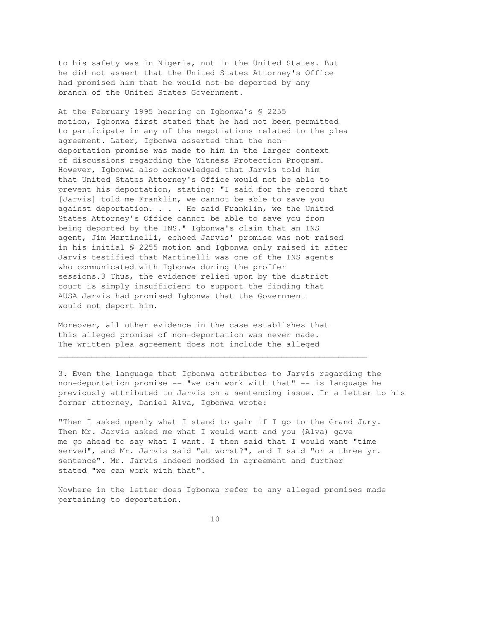to his safety was in Nigeria, not in the United States. But he did not assert that the United States Attorney's Office had promised him that he would not be deported by any branch of the United States Government.

At the February 1995 hearing on Igbonwa's § 2255 motion, Igbonwa first stated that he had not been permitted to participate in any of the negotiations related to the plea agreement. Later, Igbonwa asserted that the nondeportation promise was made to him in the larger context of discussions regarding the Witness Protection Program. However, Igbonwa also acknowledged that Jarvis told him that United States Attorney's Office would not be able to prevent his deportation, stating: "I said for the record that [Jarvis] told me Franklin, we cannot be able to save you against deportation. . . . He said Franklin, we the United States Attorney's Office cannot be able to save you from being deported by the INS." Igbonwa's claim that an INS agent, Jim Martinelli, echoed Jarvis' promise was not raised in his initial § 2255 motion and Igbonwa only raised it after Jarvis testified that Martinelli was one of the INS agents who communicated with Igbonwa during the proffer sessions.3 Thus, the evidence relied upon by the district court is simply insufficient to support the finding that AUSA Jarvis had promised Igbonwa that the Government would not deport him.

Moreover, all other evidence in the case establishes that this alleged promise of non-deportation was never made. The written plea agreement does not include the alleged

3. Even the language that Igbonwa attributes to Jarvis regarding the non-deportation promise -- "we can work with that" -- is language he previously attributed to Jarvis on a sentencing issue. In a letter to his former attorney, Daniel Alva, Igbonwa wrote:

"Then I asked openly what I stand to gain if I go to the Grand Jury. Then Mr. Jarvis asked me what I would want and you (Alva) gave me go ahead to say what I want. I then said that I would want "time served", and Mr. Jarvis said "at worst?", and I said "or a three yr. sentence". Mr. Jarvis indeed nodded in agreement and further stated "we can work with that".

 $\overline{\phantom{a}}$  , and the contribution of the contribution of the contribution of the contribution of the contribution of the contribution of the contribution of the contribution of the contribution of the contribution of the

Nowhere in the letter does Igbonwa refer to any alleged promises made pertaining to deportation.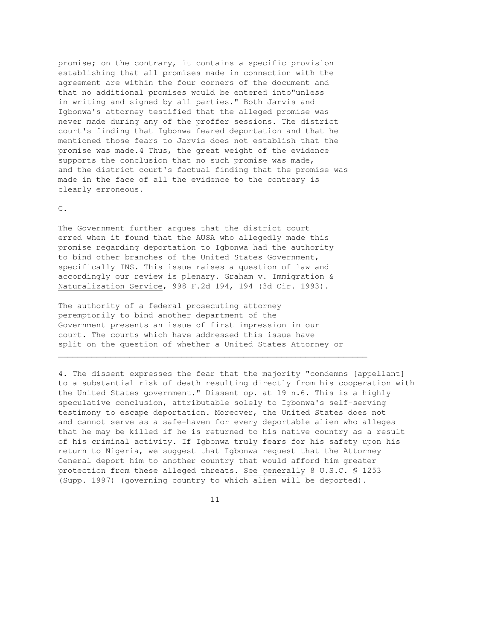promise; on the contrary, it contains a specific provision establishing that all promises made in connection with the agreement are within the four corners of the document and that no additional promises would be entered into"unless in writing and signed by all parties." Both Jarvis and Igbonwa's attorney testified that the alleged promise was never made during any of the proffer sessions. The district court's finding that Igbonwa feared deportation and that he mentioned those fears to Jarvis does not establish that the promise was made.4 Thus, the great weight of the evidence supports the conclusion that no such promise was made, and the district court's factual finding that the promise was made in the face of all the evidence to the contrary is clearly erroneous.

#### C.

The Government further argues that the district court erred when it found that the AUSA who allegedly made this promise regarding deportation to Igbonwa had the authority to bind other branches of the United States Government, specifically INS. This issue raises a question of law and accordingly our review is plenary. Graham v. Immigration & Naturalization Service, 998 F.2d 194, 194 (3d Cir. 1993).

The authority of a federal prosecuting attorney peremptorily to bind another department of the Government presents an issue of first impression in our court. The courts which have addressed this issue have split on the question of whether a United States Attorney or

 $\overline{\phantom{a}}$  , and the contribution of the contribution of the contribution of the contribution of the contribution of the contribution of the contribution of the contribution of the contribution of the contribution of the

4. The dissent expresses the fear that the majority "condemns [appellant] to a substantial risk of death resulting directly from his cooperation with the United States government." Dissent op. at 19 n.6. This is a highly speculative conclusion, attributable solely to Igbonwa's self-serving testimony to escape deportation. Moreover, the United States does not and cannot serve as a safe-haven for every deportable alien who alleges that he may be killed if he is returned to his native country as a result of his criminal activity. If Igbonwa truly fears for his safety upon his return to Nigeria, we suggest that Igbonwa request that the Attorney General deport him to another country that would afford him greater protection from these alleged threats. See generally 8 U.S.C. § 1253 (Supp. 1997) (governing country to which alien will be deported).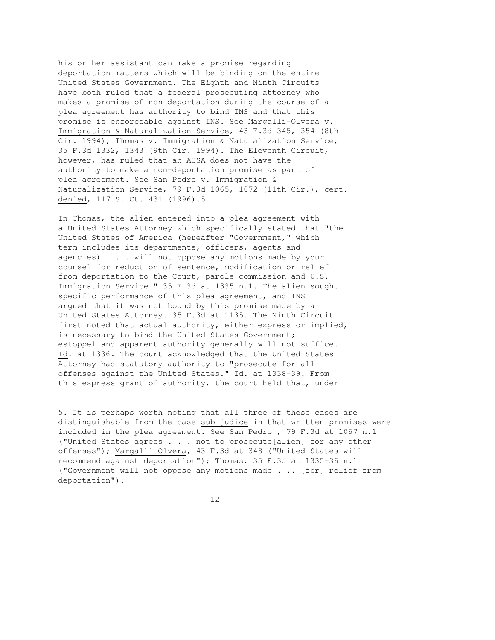his or her assistant can make a promise regarding deportation matters which will be binding on the entire United States Government. The Eighth and Ninth Circuits have both ruled that a federal prosecuting attorney who makes a promise of non-deportation during the course of a plea agreement has authority to bind INS and that this promise is enforceable against INS. See Margalli-Olvera v. Immigration & Naturalization Service, 43 F.3d 345, 354 (8th Cir. 1994); Thomas v. Immigration & Naturalization Service, 35 F.3d 1332, 1343 (9th Cir. 1994). The Eleventh Circuit, however, has ruled that an AUSA does not have the authority to make a non-deportation promise as part of plea agreement. See San Pedro v. Immigration & Naturalization Service, 79 F.3d 1065, 1072 (11th Cir.), cert. denied, 117 S. Ct. 431 (1996).5

In Thomas, the alien entered into a plea agreement with a United States Attorney which specifically stated that "the United States of America (hereafter "Government," which term includes its departments, officers, agents and agencies) . . . will not oppose any motions made by your counsel for reduction of sentence, modification or relief from deportation to the Court, parole commission and U.S. Immigration Service." 35 F.3d at 1335 n.1. The alien sought specific performance of this plea agreement, and INS argued that it was not bound by this promise made by a United States Attorney. 35 F.3d at 1135. The Ninth Circuit first noted that actual authority, either express or implied, is necessary to bind the United States Government; estoppel and apparent authority generally will not suffice. Id. at 1336. The court acknowledged that the United States Attorney had statutory authority to "prosecute for all offenses against the United States." Id. at 1338-39. From this express grant of authority, the court held that, under \_\_\_\_\_\_\_\_\_\_\_\_\_\_\_\_\_\_\_\_\_\_\_\_\_\_\_\_\_\_\_\_\_\_\_\_\_\_\_\_\_\_\_\_\_\_\_\_\_\_\_\_\_\_\_\_\_\_\_\_\_\_\_\_\_

5. It is perhaps worth noting that all three of these cases are distinguishable from the case sub judice in that written promises were included in the plea agreement. See San Pedro , 79 F.3d at 1067 n.1 ("United States agrees . . . not to prosecute[alien] for any other offenses"); Margalli-Olvera, 43 F.3d at 348 ("United States will recommend against deportation"); Thomas, 35 F.3d at 1335-36 n.1 ("Government will not oppose any motions made . .. [for] relief from deportation").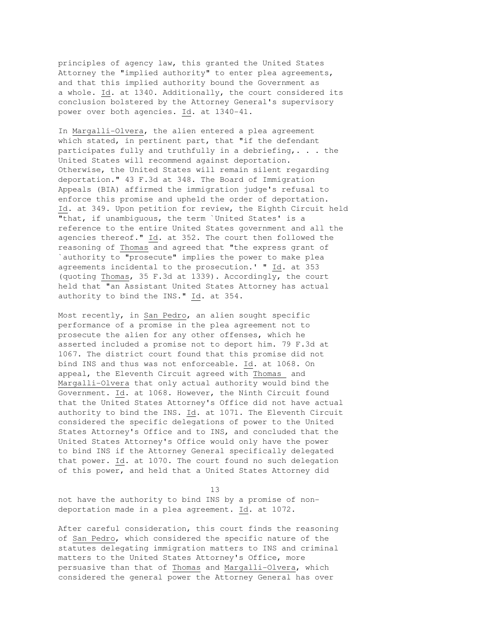principles of agency law, this granted the United States Attorney the "implied authority" to enter plea agreements, and that this implied authority bound the Government as a whole. Id. at 1340. Additionally, the court considered its conclusion bolstered by the Attorney General's supervisory power over both agencies. Id. at 1340-41.

In Margalli-Olvera, the alien entered a plea agreement which stated, in pertinent part, that "if the defendant participates fully and truthfully in a debriefing,. . . the United States will recommend against deportation. Otherwise, the United States will remain silent regarding deportation." 43 F.3d at 348. The Board of Immigration Appeals (BIA) affirmed the immigration judge's refusal to enforce this promise and upheld the order of deportation. Id. at 349. Upon petition for review, the Eighth Circuit held "that, if unambiguous, the term `United States' is a reference to the entire United States government and all the agencies thereof." Id. at 352. The court then followed the reasoning of Thomas and agreed that "the express grant of `authority to "prosecute" implies the power to make plea agreements incidental to the prosecution.' " Id. at 353 (quoting Thomas, 35 F.3d at 1339). Accordingly, the court held that "an Assistant United States Attorney has actual authority to bind the INS." Id. at 354.

Most recently, in San Pedro, an alien sought specific performance of a promise in the plea agreement not to prosecute the alien for any other offenses, which he asserted included a promise not to deport him. 79 F.3d at 1067. The district court found that this promise did not bind INS and thus was not enforceable. Id. at 1068. On appeal, the Eleventh Circuit agreed with Thomas and Margalli-Olvera that only actual authority would bind the Government. Id. at 1068. However, the Ninth Circuit found that the United States Attorney's Office did not have actual authority to bind the INS. Id. at 1071. The Eleventh Circuit considered the specific delegations of power to the United States Attorney's Office and to INS, and concluded that the United States Attorney's Office would only have the power to bind INS if the Attorney General specifically delegated that power. Id. at 1070. The court found no such delegation of this power, and held that a United States Attorney did

13

not have the authority to bind INS by a promise of nondeportation made in a plea agreement. Id. at 1072.

After careful consideration, this court finds the reasoning of San Pedro, which considered the specific nature of the statutes delegating immigration matters to INS and criminal matters to the United States Attorney's Office, more persuasive than that of Thomas and Margalli-Olvera, which considered the general power the Attorney General has over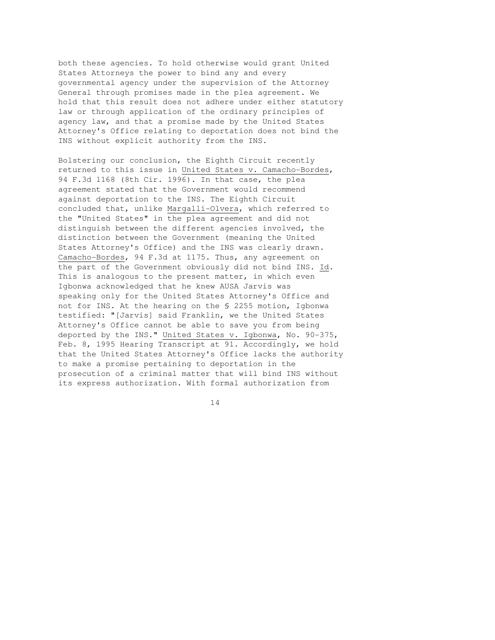both these agencies. To hold otherwise would grant United States Attorneys the power to bind any and every governmental agency under the supervision of the Attorney General through promises made in the plea agreement. We hold that this result does not adhere under either statutory law or through application of the ordinary principles of agency law, and that a promise made by the United States Attorney's Office relating to deportation does not bind the INS without explicit authority from the INS.

Bolstering our conclusion, the Eighth Circuit recently returned to this issue in United States v. Camacho-Bordes, 94 F.3d 1168 (8th Cir. 1996). In that case, the plea agreement stated that the Government would recommend against deportation to the INS. The Eighth Circuit concluded that, unlike Margalli-Olvera, which referred to the "United States" in the plea agreement and did not distinguish between the different agencies involved, the distinction between the Government (meaning the United States Attorney's Office) and the INS was clearly drawn. Camacho-Bordes, 94 F.3d at 1175. Thus, any agreement on the part of the Government obviously did not bind INS. Id. This is analogous to the present matter, in which even Igbonwa acknowledged that he knew AUSA Jarvis was speaking only for the United States Attorney's Office and not for INS. At the hearing on the § 2255 motion, Igbonwa testified: "[Jarvis] said Franklin, we the United States Attorney's Office cannot be able to save you from being deported by the INS." United States v. Igbonwa, No. 90-375, Feb. 8, 1995 Hearing Transcript at 91. Accordingly, we hold that the United States Attorney's Office lacks the authority to make a promise pertaining to deportation in the prosecution of a criminal matter that will bind INS without its express authorization. With formal authorization from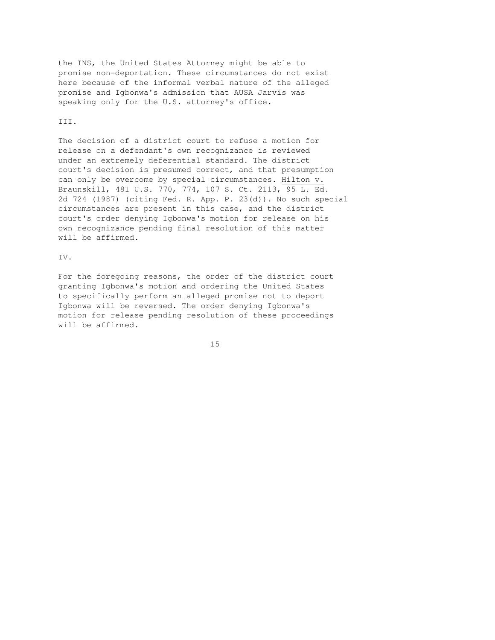the INS, the United States Attorney might be able to promise non-deportation. These circumstances do not exist here because of the informal verbal nature of the alleged promise and Igbonwa's admission that AUSA Jarvis was speaking only for the U.S. attorney's office.

#### III.

The decision of a district court to refuse a motion for release on a defendant's own recognizance is reviewed under an extremely deferential standard. The district court's decision is presumed correct, and that presumption can only be overcome by special circumstances. Hilton v. Braunskill, 481 U.S. 770, 774, 107 S. Ct. 2113, 95 L. Ed. 2d 724 (1987) (citing Fed. R. App. P. 23(d)). No such special circumstances are present in this case, and the district court's order denying Igbonwa's motion for release on his own recognizance pending final resolution of this matter will be affirmed.

#### IV.

For the foregoing reasons, the order of the district court granting Igbonwa's motion and ordering the United States to specifically perform an alleged promise not to deport Igbonwa will be reversed. The order denying Igbonwa's motion for release pending resolution of these proceedings will be affirmed.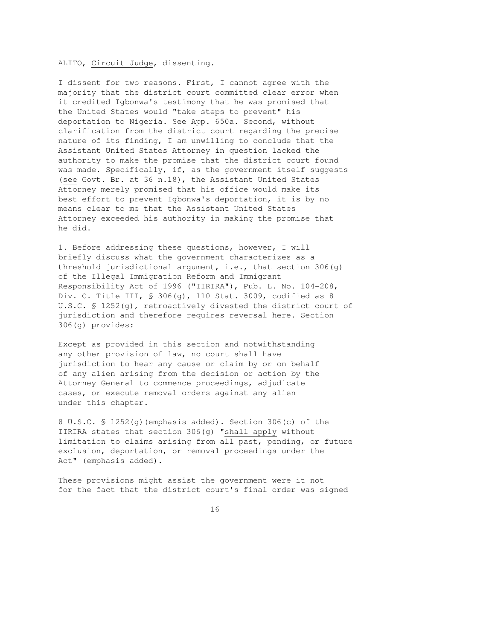### ALITO, Circuit Judge, dissenting.

I dissent for two reasons. First, I cannot agree with the majority that the district court committed clear error when it credited Igbonwa's testimony that he was promised that the United States would "take steps to prevent" his deportation to Nigeria. See App. 650a. Second, without clarification from the district court regarding the precise nature of its finding, I am unwilling to conclude that the Assistant United States Attorney in question lacked the authority to make the promise that the district court found was made. Specifically, if, as the government itself suggests (see Govt. Br. at 36 n.18), the Assistant United States Attorney merely promised that his office would make its best effort to prevent Igbonwa's deportation, it is by no means clear to me that the Assistant United States Attorney exceeded his authority in making the promise that he did.

1. Before addressing these questions, however, I will briefly discuss what the government characterizes as a threshold jurisdictional argument, i.e., that section  $306(q)$ of the Illegal Immigration Reform and Immigrant Responsibility Act of 1996 ("IIRIRA"), Pub. L. No. 104-208, Div. C. Title III, § 306(g), 110 Stat. 3009, codified as 8 U.S.C. § 1252(g), retroactively divested the district court of jurisdiction and therefore requires reversal here. Section 306(g) provides:

Except as provided in this section and notwithstanding any other provision of law, no court shall have jurisdiction to hear any cause or claim by or on behalf of any alien arising from the decision or action by the Attorney General to commence proceedings, adjudicate cases, or execute removal orders against any alien under this chapter.

8 U.S.C. § 1252(g)(emphasis added). Section 306(c) of the IIRIRA states that section 306(g) "shall apply without limitation to claims arising from all past, pending, or future exclusion, deportation, or removal proceedings under the Act" (emphasis added).

These provisions might assist the government were it not for the fact that the district court's final order was signed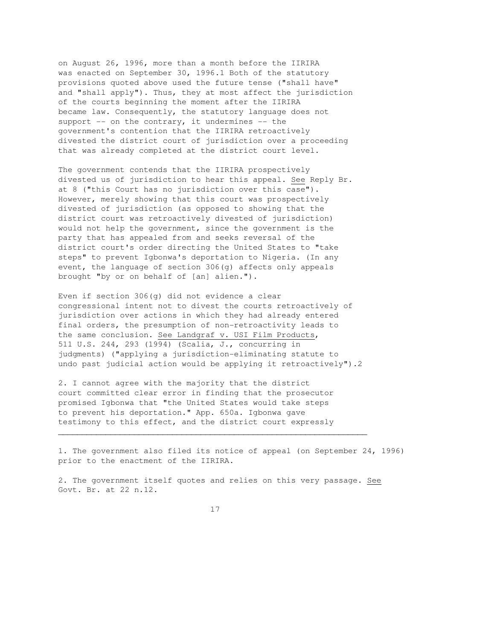on August 26, 1996, more than a month before the IIRIRA was enacted on September 30, 1996.1 Both of the statutory provisions quoted above used the future tense ("shall have" and "shall apply"). Thus, they at most affect the jurisdiction of the courts beginning the moment after the IIRIRA became law. Consequently, the statutory language does not support  $--$  on the contrary, it undermines  $--$  the government's contention that the IIRIRA retroactively divested the district court of jurisdiction over a proceeding that was already completed at the district court level.

The government contends that the IIRIRA prospectively divested us of jurisdiction to hear this appeal. See Reply Br. at 8 ("this Court has no jurisdiction over this case"). However, merely showing that this court was prospectively divested of jurisdiction (as opposed to showing that the district court was retroactively divested of jurisdiction) would not help the government, since the government is the party that has appealed from and seeks reversal of the district court's order directing the United States to "take steps" to prevent Igbonwa's deportation to Nigeria. (In any event, the language of section 306(g) affects only appeals brought "by or on behalf of [an] alien.").

Even if section 306(g) did not evidence a clear congressional intent not to divest the courts retroactively of jurisdiction over actions in which they had already entered final orders, the presumption of non-retroactivity leads to the same conclusion. See Landgraf v. USI Film Products, 511 U.S. 244, 293 (1994) (Scalia, J., concurring in judgments) ("applying a jurisdiction-eliminating statute to undo past judicial action would be applying it retroactively").2

2. I cannot agree with the majority that the district court committed clear error in finding that the prosecutor promised Igbonwa that "the United States would take steps to prevent his deportation." App. 650a. Igbonwa gave testimony to this effect, and the district court expressly

1. The government also filed its notice of appeal (on September 24, 1996) prior to the enactment of the IIRIRA.

2. The government itself quotes and relies on this very passage. See Govt. Br. at 22 n.12.

 $\overline{\phantom{a}}$  , and the contribution of the contribution of the contribution of the contribution of the contribution of the contribution of the contribution of the contribution of the contribution of the contribution of the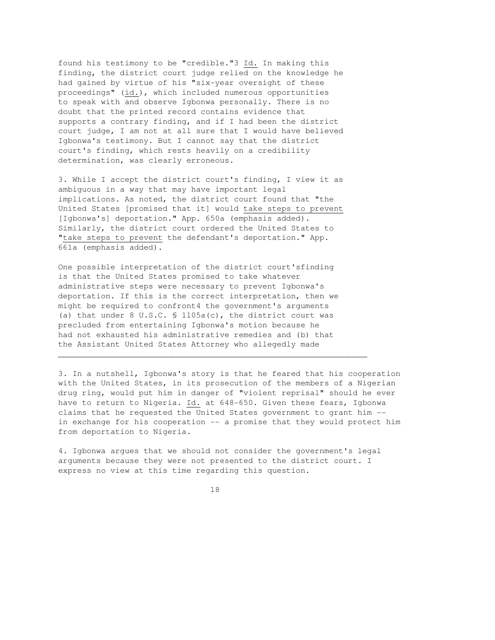found his testimony to be "credible."3 Id. In making this finding, the district court judge relied on the knowledge he had gained by virtue of his "six-year oversight of these proceedings" (id.), which included numerous opportunities to speak with and observe Igbonwa personally. There is no doubt that the printed record contains evidence that supports a contrary finding, and if I had been the district court judge, I am not at all sure that I would have believed Igbonwa's testimony. But I cannot say that the district court's finding, which rests heavily on a credibility determination, was clearly erroneous.

3. While I accept the district court's finding, I view it as ambiguous in a way that may have important legal implications. As noted, the district court found that "the United States [promised that it] would take steps to prevent [Igbonwa's] deportation." App. 650a (emphasis added). Similarly, the district court ordered the United States to "take steps to prevent the defendant's deportation." App. 661a (emphasis added).

One possible interpretation of the district court'sfinding is that the United States promised to take whatever administrative steps were necessary to prevent Igbonwa's deportation. If this is the correct interpretation, then we might be required to confront4 the government's arguments (a) that under 8 U.S.C. § 1105a(c), the district court was precluded from entertaining Igbonwa's motion because he had not exhausted his administrative remedies and (b) that the Assistant United States Attorney who allegedly made

3. In a nutshell, Igbonwa's story is that he feared that his cooperation with the United States, in its prosecution of the members of a Nigerian drug ring, would put him in danger of "violent reprisal" should he ever have to return to Nigeria. Id. at 648-650. Given these fears, Igbonwa claims that he requested the United States government to grant him - in exchange for his cooperation -- a promise that they would protect him from deportation to Nigeria.

 $\overline{\phantom{a}}$  , and the contribution of the contribution of the contribution of the contribution of the contribution of the contribution of the contribution of the contribution of the contribution of the contribution of the

4. Igbonwa argues that we should not consider the government's legal arguments because they were not presented to the district court. I express no view at this time regarding this question.